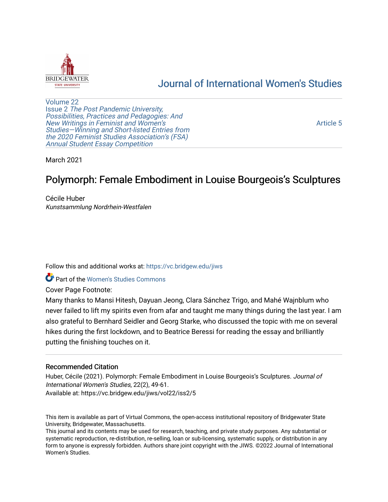

## [Journal of International Women's Studies](https://vc.bridgew.edu/jiws)

[Volume 22](https://vc.bridgew.edu/jiws/vol22) Issue 2 [The Post Pandemic University,](https://vc.bridgew.edu/jiws/vol22/iss2) Possibilities, Practices and Pedagogies: And [New Writings in Feminist and Women's](https://vc.bridgew.edu/jiws/vol22/iss2) [Studies—Winning and Short-listed Entries from](https://vc.bridgew.edu/jiws/vol22/iss2) [the 2020 Feminist Studies Association's \(FSA\)](https://vc.bridgew.edu/jiws/vol22/iss2) [Annual Student Essay Competition](https://vc.bridgew.edu/jiws/vol22/iss2) 

[Article 5](https://vc.bridgew.edu/jiws/vol22/iss2/5) 

March 2021

# Polymorph: Female Embodiment in Louise Bourgeois's Sculptures

Cécile Huber Kunstsammlung Nordrhein-Westfalen

Follow this and additional works at: [https://vc.bridgew.edu/jiws](https://vc.bridgew.edu/jiws?utm_source=vc.bridgew.edu%2Fjiws%2Fvol22%2Fiss2%2F5&utm_medium=PDF&utm_campaign=PDFCoverPages)

**C** Part of the Women's Studies Commons

Cover Page Footnote:

Many thanks to Mansi Hitesh, Dayuan Jeong, Clara Sánchez Trigo, and Mahé Wajnblum who never failed to lift my spirits even from afar and taught me many things during the last year. I am also grateful to Bernhard Seidler and Georg Starke, who discussed the topic with me on several hikes during the first lockdown, and to Beatrice Beressi for reading the essay and brilliantly putting the finishing touches on it.

## Recommended Citation

Huber, Cécile (2021). Polymorph: Female Embodiment in Louise Bourgeois's Sculptures. Journal of International Women's Studies, 22(2), 49-61. Available at: https://vc.bridgew.edu/jiws/vol22/iss2/5

This item is available as part of Virtual Commons, the open-access institutional repository of Bridgewater State University, Bridgewater, Massachusetts.

This journal and its contents may be used for research, teaching, and private study purposes. Any substantial or systematic reproduction, re-distribution, re-selling, loan or sub-licensing, systematic supply, or distribution in any form to anyone is expressly forbidden. Authors share joint copyright with the JIWS. ©2022 Journal of International Women's Studies.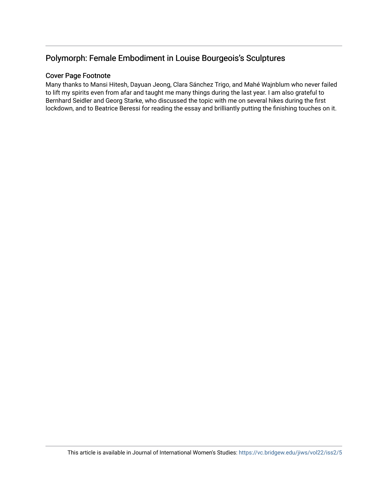## Polymorph: Female Embodiment in Louise Bourgeois's Sculptures

## Cover Page Footnote

Many thanks to Mansi Hitesh, Dayuan Jeong, Clara Sánchez Trigo, and Mahé Wajnblum who never failed to lift my spirits even from afar and taught me many things during the last year. I am also grateful to Bernhard Seidler and Georg Starke, who discussed the topic with me on several hikes during the first lockdown, and to Beatrice Beressi for reading the essay and brilliantly putting the finishing touches on it.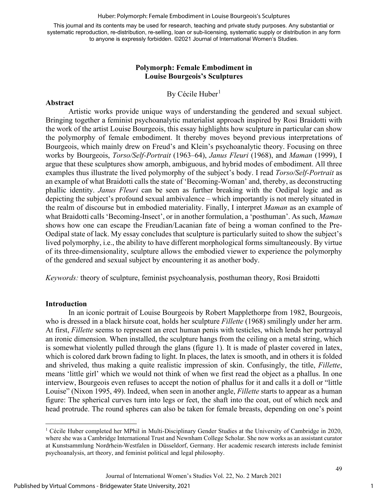Huber: Polymorph: Female Embodiment in Louise Bourgeois's Sculptures

This journal and its contents may be used for research, teaching and private study purposes. Any substantial or systematic reproduction, re-distribution, re-selling, loan or sub-licensing, systematic supply or distribution in any form to anyone is expressly forbidden. ©2021 Journal of International Women's Studies.

## **Polymorph: Female Embodiment in Louise Bourgeois's Sculptures**

## By Cécile Huber<sup>[1](#page-2-0)</sup>

## **Abstract**

Artistic works provide unique ways of understanding the gendered and sexual subject. Bringing together a feminist psychoanalytic materialist approach inspired by Rosi Braidotti with the work of the artist Louise Bourgeois, this essay highlights how sculpture in particular can show the polymorphy of female embodiment. It thereby moves beyond previous interpretations of Bourgeois, which mainly drew on Freud's and Klein's psychoanalytic theory. Focusing on three works by Bourgeois, *Torso/Self-Portrait* (1963–64), *Janus Fleuri* (1968), and *Maman* (1999), I argue that these sculptures show amorph, ambiguous, and hybrid modes of embodiment. All three examples thus illustrate the lived polymorphy of the subject's body. I read *Torso/Self-Portrait* as an example of what Braidotti calls the state of 'Becoming-Woman' and, thereby, as deconstructing phallic identity. *Janus Fleuri* can be seen as further breaking with the Oedipal logic and as depicting the subject's profound sexual ambivalence – which importantly is not merely situated in the realm of discourse but in embodied materiality. Finally, I interpret *Maman* as an example of what Braidotti calls 'Becoming-Insect', or in another formulation, a 'posthuman'. As such, *Maman*  shows how one can escape the Freudian/Lacanian fate of being a woman confined to the Pre-Oedipal state of lack. My essay concludes that sculpture is particularly suited to show the subject's lived polymorphy, i.e., the ability to have different morphological forms simultaneously. By virtue of its three-dimensionality, sculpture allows the embodied viewer to experience the polymorphy of the gendered and sexual subject by encountering it as another body.

*Keywords:* theory of sculpture, feminist psychoanalysis, posthuman theory, Rosi Braidotti

## **Introduction**

In an iconic portrait of Louise Bourgeois by Robert Mapplethorpe from 1982, Bourgeois, who is dressed in a black hirsute coat, holds her sculpture *Fillette* (1968) smilingly under her arm. At first, *Fillette* seems to represent an erect human penis with testicles, which lends her portrayal an ironic dimension. When installed, the sculpture hangs from the ceiling on a metal string, which is somewhat violently pulled through the glans (figure 1). It is made of plaster covered in latex, which is colored dark brown fading to light. In places, the latex is smooth, and in others it is folded and shriveled, thus making a quite realistic impression of skin. Confusingly, the title, *Fillette*, means 'little girl' which we would not think of when we first read the object as a phallus. In one interview, Bourgeois even refuses to accept the notion of phallus for it and calls it a doll or "little Louise" (Nixon 1995, 49). Indeed, when seen in another angle, *Fillette* starts to appear as a human figure: The spherical curves turn into legs or feet, the shaft into the coat, out of which neck and head protrude. The round spheres can also be taken for female breasts, depending on one's point

<span id="page-2-0"></span><sup>1</sup> Cécile Huber completed her MPhil in Multi-Disciplinary Gender Studies at the University of Cambridge in 2020, where she was a Cambridge International Trust and Newnham College Scholar. She now works as an assistant curator at Kunstsammlung Nordrhein-Westfalen in Düsseldorf, Germany. Her academic research interests include feminist psychoanalysis, art theory, and feminist political and legal philosophy.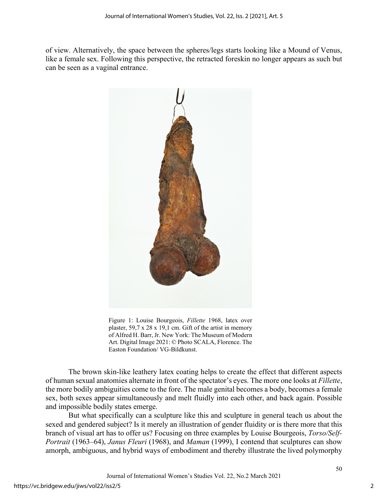of view. Alternatively, the space between the spheres/legs starts looking like a Mound of Venus, like a female sex. Following this perspective, the retracted foreskin no longer appears as such but can be seen as a vaginal entrance.



Figure 1: Louise Bourgeois, *Fillette* 1968, latex over plaster, 59,7 x 28 x 19,1 cm. Gift of the artist in memory of Alfred H. Barr, Jr. New York: The Museum of Modern Art. Digital Image 2021: © Photo SCALA, Florence. The Easton Foundation/ VG-Bildkunst.

The brown skin-like leathery latex coating helps to create the effect that different aspects of human sexual anatomies alternate in front of the spectator's eyes. The more one looks at *Fillette*, the more bodily ambiguities come to the fore. The male genital becomes a body, becomes a female sex, both sexes appear simultaneously and melt fluidly into each other, and back again. Possible and impossible bodily states emerge.

But what specifically can a sculpture like this and sculpture in general teach us about the sexed and gendered subject? Is it merely an illustration of gender fluidity or is there more that this branch of visual art has to offer us? Focusing on three examples by Louise Bourgeois, *Torso/Self-Portrait* (1963–64), *Janus Fleuri* (1968), and *Maman* (1999), I contend that sculptures can show amorph, ambiguous, and hybrid ways of embodiment and thereby illustrate the lived polymorphy

Journal of International Women's Studies Vol. 22, No.2 March 2021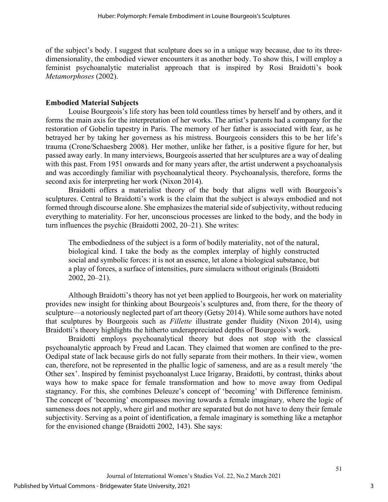of the subject's body. I suggest that sculpture does so in a unique way because, due to its threedimensionality, the embodied viewer encounters it as another body. To show this, I will employ a feminist psychoanalytic materialist approach that is inspired by Rosi Braidotti's book *Metamorphoses* (2002).

## **Embodied Material Subjects**

Louise Bourgeois's life story has been told countless times by herself and by others, and it forms the main axis for the interpretation of her works. The artist's parents had a company for the restoration of Gobelin tapestry in Paris. The memory of her father is associated with fear, as he betrayed her by taking her governess as his mistress. Bourgeois considers this to be her life's trauma (Crone/Schaesberg 2008). Her mother, unlike her father, is a positive figure for her, but passed away early. In many interviews, Bourgeois asserted that her sculptures are a way of dealing with this past. From 1951 onwards and for many years after, the artist underwent a psychoanalysis and was accordingly familiar with psychoanalytical theory. Psychoanalysis, therefore, forms the second axis for interpreting her work (Nixon 2014).

Braidotti offers a materialist theory of the body that aligns well with Bourgeois's sculptures. Central to Braidotti's work is the claim that the subject is always embodied and not formed through discourse alone. She emphasizes the material side of subjectivity, without reducing everything to materiality. For her, unconscious processes are linked to the body, and the body in turn influences the psychic (Braidotti 2002, 20–21). She writes:

The embodiedness of the subject is a form of bodily materiality, not of the natural, biological kind. I take the body as the complex interplay of highly constructed social and symbolic forces: it is not an essence, let alone a biological substance, but a play of forces, a surface of intensities, pure simulacra without originals (Braidotti 2002, 20–21).

Although Braidotti's theory has not yet been applied to Bourgeois, her work on materiality provides new insight for thinking about Bourgeois's sculptures and, from there, for the theory of sculpture—a notoriously neglected part of art theory (Getsy 2014). While some authors have noted that sculptures by Bourgeois such as *Fillette* illustrate gender fluidity (Nixon 2014), using Braidotti's theory highlights the hitherto underappreciated depths of Bourgeois's work.

Braidotti employs psychoanalytical theory but does not stop with the classical psychoanalytic approach by Freud and Lacan. They claimed that women are confined to the pre-Oedipal state of lack because girls do not fully separate from their mothers. In their view, women can, therefore, not be represented in the phallic logic of sameness, and are as a result merely 'the Other sex'. Inspired by feminist psychoanalyst Luce Irigaray, Braidotti, by contrast, thinks about ways how to make space for female transformation and how to move away from Oedipal stagnancy. For this, she combines Deleuze's concept of 'becoming' with Difference feminism. The concept of 'becoming' encompasses moving towards a female imaginary*,* where the logic of sameness does not apply, where girl and mother are separated but do not have to deny their female subjectivity. Serving as a point of identification, a female imaginary is something like a metaphor for the envisioned change (Braidotti 2002, 143). She says: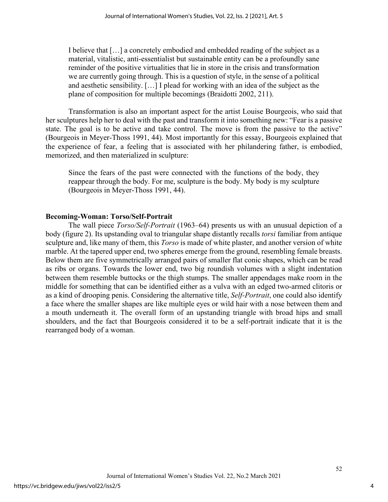I believe that […] a concretely embodied and embedded reading of the subject as a material, vitalistic, anti-essentialist but sustainable entity can be a profoundly sane reminder of the positive virtualities that lie in store in the crisis and transformation we are currently going through. This is a question of style, in the sense of a political and aesthetic sensibility. […] I plead for working with an idea of the subject as the plane of composition for multiple becomings (Braidotti 2002, 211).

Transformation is also an important aspect for the artist Louise Bourgeois, who said that her sculptures help her to deal with the past and transform it into something new: "Fear is a passive state. The goal is to be active and take control. The move is from the passive to the active" (Bourgeois in Meyer-Thoss 1991, 44). Most importantly for this essay, Bourgeois explained that the experience of fear, a feeling that is associated with her philandering father, is embodied, memorized, and then materialized in sculpture:

Since the fears of the past were connected with the functions of the body, they reappear through the body. For me, sculpture is the body. My body is my sculpture (Bourgeois in Meyer-Thoss 1991, 44).

## **Becoming-Woman: Torso/Self-Portrait**

The wall piece *Torso/Self-Portrait* (1963–64) presents us with an unusual depiction of a body (figure 2). Its upstanding oval to triangular shape distantly recalls *torsi* familiar from antique sculpture and, like many of them, this *Torso* is made of white plaster, and another version of white marble. At the tapered upper end, two spheres emerge from the ground, resembling female breasts. Below them are five symmetrically arranged pairs of smaller flat conic shapes, which can be read as ribs or organs. Towards the lower end, two big roundish volumes with a slight indentation between them resemble buttocks or the thigh stumps. The smaller appendages make room in the middle for something that can be identified either as a vulva with an edged two-armed clitoris or as a kind of drooping penis. Considering the alternative title, *Self-Portrait*, one could also identify a face where the smaller shapes are like multiple eyes or wild hair with a nose between them and a mouth underneath it. The overall form of an upstanding triangle with broad hips and small shoulders, and the fact that Bourgeois considered it to be a self-portrait indicate that it is the rearranged body of a woman.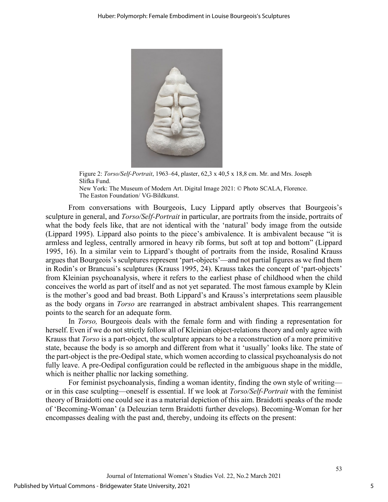

Figure 2: *Torso/Self-Portrait*, 1963–64, plaster, 62,3 x 40,5 x 18,8 cm. Mr. and Mrs. Joseph Slifka Fund.

New York: The Museum of Modern Art. Digital Image 2021: © Photo SCALA, Florence. The Easton Foundation/ VG-Bildkunst.

From conversations with Bourgeois, Lucy Lippard aptly observes that Bourgeois's sculpture in general, and *Torso/Self-Portrait* in particular, are portraits from the inside, portraits of what the body feels like, that are not identical with the 'natural' body image from the outside (Lippard 1995). Lippard also points to the piece's ambivalence. It is ambivalent because "it is armless and legless, centrally armored in heavy rib forms, but soft at top and bottom" (Lippard 1995, 16). In a similar vein to Lippard's thought of portraits from the inside, Rosalind Krauss argues that Bourgeois's sculptures represent 'part-objects'—and not partial figures as we find them in Rodin's or Brancusi's sculptures (Krauss 1995, 24). Krauss takes the concept of 'part-objects' from Kleinian psychoanalysis, where it refers to the earliest phase of childhood when the child conceives the world as part of itself and as not yet separated. The most famous example by Klein is the mother's good and bad breast. Both Lippard's and Krauss's interpretations seem plausible as the body organs in *Torso* are rearranged in abstract ambivalent shapes. This rearrangement points to the search for an adequate form.

In *Torso,* Bourgeois deals with the female form and with finding a representation for herself. Even if we do not strictly follow all of Kleinian object-relations theory and only agree with Krauss that *Torso* is a part-object, the sculpture appears to be a reconstruction of a more primitive state, because the body is so amorph and different from what it 'usually' looks like. The state of the part-object is the pre-Oedipal state, which women according to classical psychoanalysis do not fully leave. A pre-Oedipal configuration could be reflected in the ambiguous shape in the middle, which is neither phallic nor lacking something.

For feminist psychoanalysis, finding a woman identity, finding the own style of writing or in this case sculpting—oneself is essential. If we look at *Torso/Self-Portrait* with the feminist theory of Braidotti one could see it as a material depiction of this aim. Braidotti speaks of the mode of 'Becoming-Woman' (a Deleuzian term Braidotti further develops). Becoming-Woman for her encompasses dealing with the past and, thereby, undoing its effects on the present: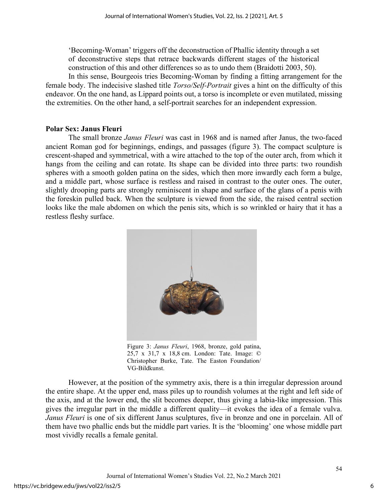'Becoming-Woman' triggers off the deconstruction of Phallic identity through a set of deconstructive steps that retrace backwards different stages of the historical construction of this and other differences so as to undo them (Braidotti 2003, 50).

In this sense, Bourgeois tries Becoming-Woman by finding a fitting arrangement for the female body. The indecisive slashed title *Torso/Self-Portrait* gives a hint on the difficulty of this endeavor. On the one hand, as Lippard points out, a torso is incomplete or even mutilated, missing the extremities. On the other hand, a self-portrait searches for an independent expression.

#### **Polar Sex: Janus Fleuri**

The small bronze *Janus Fleuri* was cast in 1968 and is named after Janus, the two-faced ancient Roman god for beginnings, endings, and passages (figure 3). The compact sculpture is crescent-shaped and symmetrical, with a wire attached to the top of the outer arch, from which it hangs from the ceiling and can rotate. Its shape can be divided into three parts: two roundish spheres with a smooth golden patina on the sides, which then more inwardly each form a bulge, and a middle part, whose surface is restless and raised in contrast to the outer ones. The outer, slightly drooping parts are strongly reminiscent in shape and surface of the glans of a penis with the foreskin pulled back. When the sculpture is viewed from the side, the raised central section looks like the male abdomen on which the penis sits, which is so wrinkled or hairy that it has a restless fleshy surface.



Figure 3: *Janus Fleuri*, 1968, bronze, gold patina, 25,7 x 31,7 x 18,8 cm. London: Tate. Image: © Christopher Burke, Tate. The Easton Foundation/ VG-Bildkunst.

However, at the position of the symmetry axis, there is a thin irregular depression around the entire shape. At the upper end, mass piles up to roundish volumes at the right and left side of the axis, and at the lower end, the slit becomes deeper, thus giving a labia-like impression. This gives the irregular part in the middle a different quality—it evokes the idea of a female vulva. *Janus Fleuri* is one of six different Janus sculptures, five in bronze and one in porcelain. All of them have two phallic ends but the middle part varies. It is the 'blooming' one whose middle part most vividly recalls a female genital.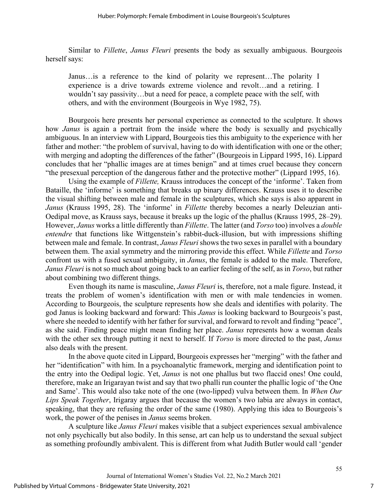Similar to *Fillette*, *Janus Fleuri* presents the body as sexually ambiguous. Bourgeois herself says:

Janus…is a reference to the kind of polarity we represent…The polarity I experience is a drive towards extreme violence and revolt…and a retiring. I wouldn't say passivity…but a need for peace, a complete peace with the self, with others, and with the environment (Bourgeois in Wye 1982, 75).

Bourgeois here presents her personal experience as connected to the sculpture. It shows how *Janus* is again a portrait from the inside where the body is sexually and psychically ambiguous. In an interview with Lippard, Bourgeois ties this ambiguity to the experience with her father and mother: "the problem of survival, having to do with identification with one or the other; with merging and adopting the differences of the father" (Bourgeois in Lippard 1995, 16). Lippard concludes that her "phallic images are at times benign" and at times cruel because they concern "the presexual perception of the dangerous father and the protective mother" (Lippard 1995, 16).

Using the example of *Fillette,* Krauss introduces the concept of the 'informe'. Taken from Bataille, the 'informe' is something that breaks up binary differences. Krauss uses it to describe the visual shifting between male and female in the sculptures, which she says is also apparent in *Janus* (Krauss 1995, 28). The 'informe' in *Fillette* thereby becomes a nearly Deleuzian anti-Oedipal move, as Krauss says, because it breaks up the logic of the phallus (Krauss 1995, 28–29). However, *Janus* works a little differently than *Fillette*. The latter (and *Torso* too) involves a *double entendre* that functions like Wittgenstein's rabbit-duck-illusion, but with impressions shifting between male and female. In contrast, *Janus Fleuri* shows the two sexes in parallel with a boundary between them. The axial symmetry and the mirroring provide this effect. While *Fillette* and *Torso*  confront us with a fused sexual ambiguity, in *Janus*, the female is added to the male. Therefore, *Janus Fleuri* is not so much about going back to an earlier feeling of the self, as in *Torso*, but rather about combining two different things.

Even though its name is masculine, *Janus Fleuri* is, therefore, not a male figure. Instead, it treats the problem of women's identification with men or with male tendencies in women. According to Bourgeois, the sculpture represents how she deals and identifies with polarity. The god Janus is looking backward and forward: This *Janus* is looking backward to Bourgeois's past, where she needed to identify with her father for survival, and forward to revolt and finding "peace", as she said. Finding peace might mean finding her place. *Janus* represents how a woman deals with the other sex through putting it next to herself. If *Torso* is more directed to the past, *Janus*  also deals with the present.

In the above quote cited in Lippard, Bourgeois expresses her "merging" with the father and her "identification" with him. In a psychoanalytic framework, merging and identification point to the entry into the Oedipal logic. Yet, *Janus* is not one phallus but two flaccid ones! One could, therefore, make an Irigarayan twist and say that two phalli run counter the phallic logic of 'the One and Same'. This would also take note of the one (two-lipped) vulva between them. In *When Our Lips Speak Together*, Irigaray argues that because the women's two labia are always in contact, speaking, that they are refusing the order of the same (1980). Applying this idea to Bourgeois's work, the power of the penises in *Janus* seems broken.

A sculpture like *Janus Fleuri* makes visible that a subject experiences sexual ambivalence not only psychically but also bodily. In this sense, art can help us to understand the sexual subject as something profoundly ambivalent. This is different from what Judith Butler would call 'gender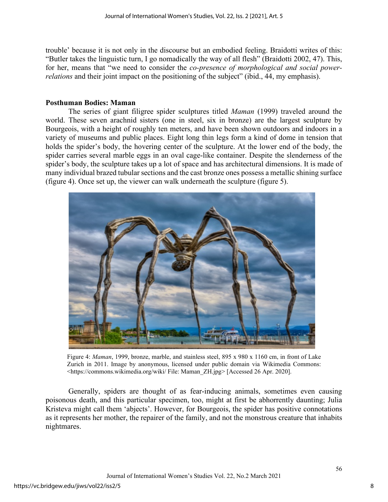trouble' because it is not only in the discourse but an embodied feeling. Braidotti writes of this: "Butler takes the linguistic turn, I go nomadically the way of all flesh" (Braidotti 2002, 47). This, for her, means that "we need to consider the *co-presence of morphological and social powerrelations* and their joint impact on the positioning of the subject" (ibid., 44, my emphasis).

#### **Posthuman Bodies: Maman**

The series of giant filigree spider sculptures titled *Maman* (1999) traveled around the world. These seven arachnid sisters (one in steel, six in bronze) are the largest sculpture by Bourgeois, with a height of roughly ten meters, and have been shown outdoors and indoors in a variety of museums and public places. Eight long thin legs form a kind of dome in tension that holds the spider's body, the hovering center of the sculpture. At the lower end of the body, the spider carries several marble eggs in an oval cage-like container. Despite the slenderness of the spider's body, the sculpture takes up a lot of space and has architectural dimensions. It is made of many individual brazed tubular sections and the cast bronze ones possess a metallic shining surface (figure 4). Once set up, the viewer can walk underneath the sculpture (figure 5).



Figure 4: *Maman*, 1999, bronze, marble, and stainless steel, 895 x 980 x 1160 cm, in front of Lake Zurich in 2011. Image by anonymous, licensed under public domain via Wikimedia Commons: <https://commons.wikimedia.org/wiki/ File: Maman\_ZH.jpg> [Accessed 26 Apr. 2020].

Generally, spiders are thought of as fear-inducing animals, sometimes even causing poisonous death, and this particular specimen, too, might at first be abhorrently daunting; Julia Kristeva might call them 'abjects'. However, for Bourgeois, the spider has positive connotations as it represents her mother, the repairer of the family, and not the monstrous creature that inhabits nightmares.

8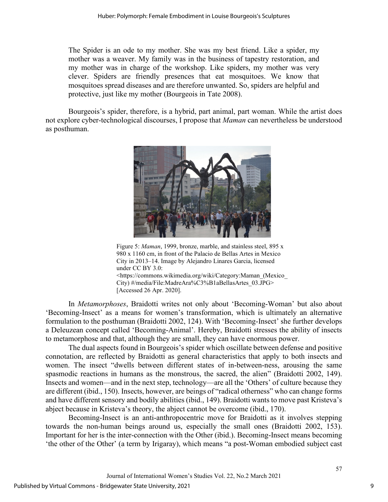The Spider is an ode to my mother. She was my best friend. Like a spider, my mother was a weaver. My family was in the business of tapestry restoration, and my mother was in charge of the workshop. Like spiders, my mother was very clever. Spiders are friendly presences that eat mosquitoes. We know that mosquitoes spread diseases and are therefore unwanted. So, spiders are helpful and protective, just like my mother (Bourgeois in Tate 2008).

Bourgeois's spider, therefore, is a hybrid, part animal, part woman. While the artist does not explore cyber-technological discourses, I propose that *Maman* can nevertheless be understood as posthuman.



Figure 5: *Maman*, 1999, bronze, marble, and stainless steel, 895 x 980 x 1160 cm, in front of the Palacio de Bellas Artes in Mexico City in 2013–14. Image by Alejandro Linares Garcia, licensed under CC BY 3.0: <https://commons.wikimedia.org/wiki/Category:Maman\_(Mexico\_ City) #/media/File:MadreAra%C3%B1aBellasArtes\_03.JPG> [Accessed 26 Apr. 2020].

In *Metamorphoses*, Braidotti writes not only about 'Becoming-Woman' but also about 'Becoming-Insect' as a means for women's transformation, which is ultimately an alternative formulation to the posthuman (Braidotti 2002, 124). With 'Becoming-Insect' she further develops a Deleuzean concept called 'Becoming-Animal'. Hereby, Braidotti stresses the ability of insects to metamorphose and that, although they are small, they can have enormous power.

The dual aspects found in Bourgeois's spider which oscillate between defense and positive connotation, are reflected by Braidotti as general characteristics that apply to both insects and women. The insect "dwells between different states of in-between-ness, arousing the same spasmodic reactions in humans as the monstrous, the sacred, the alien" (Braidotti 2002, 149). Insects and women—and in the next step, technology—are all the 'Others' of culture because they are different (ibid., 150). Insects, however, are beings of "radical otherness" who can change forms and have different sensory and bodily abilities (ibid., 149). Braidotti wants to move past Kristeva's abject because in Kristeva's theory, the abject cannot be overcome (ibid., 170).

Becoming-Insect is an anti-anthropocentric move for Braidotti as it involves stepping towards the non-human beings around us, especially the small ones (Braidotti 2002, 153). Important for her is the inter-connection with the Other (ibid.). Becoming-Insect means becoming 'the other of the Other' (a term by Irigaray), which means "a post-Woman embodied subject cast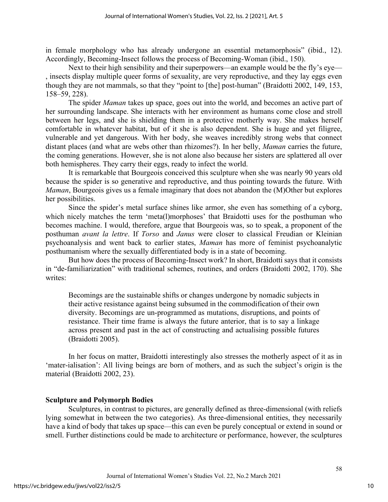in female morphology who has already undergone an essential metamorphosis" (ibid., 12). Accordingly, Becoming-Insect follows the process of Becoming-Woman (ibid., 150).

Next to their high sensibility and their superpowers—an example would be the fly's eye— , insects display multiple queer forms of sexuality, are very reproductive, and they lay eggs even though they are not mammals, so that they "point to [the] post-human" (Braidotti 2002, 149, 153, 158–59, 228).

The spider *Maman* takes up space, goes out into the world, and becomes an active part of her surrounding landscape. She interacts with her environment as humans come close and stroll between her legs, and she is shielding them in a protective motherly way. She makes herself comfortable in whatever habitat, but of it she is also dependent. She is huge and yet filigree, vulnerable and yet dangerous. With her body, she weaves incredibly strong webs that connect distant places (and what are webs other than rhizomes?). In her belly, *Maman* carries the future, the coming generations. However, she is not alone also because her sisters are splattered all over both hemispheres. They carry their eggs, ready to infect the world.

It is remarkable that Bourgeois conceived this sculpture when she was nearly 90 years old because the spider is so generative and reproductive, and thus pointing towards the future. With *Maman*, Bourgeois gives us a female imaginary that does not abandon the (M)Other but explores her possibilities.

Since the spider's metal surface shines like armor, she even has something of a cyborg, which nicely matches the term 'meta(l)morphoses' that Braidotti uses for the posthuman who becomes machine. I would, therefore, argue that Bourgeois was, so to speak, a proponent of the posthuman *avant la lettre*. If *Torso* and *Janus* were closer to classical Freudian or Kleinian psychoanalysis and went back to earlier states, *Maman* has more of feminist psychoanalytic posthumanism where the sexually differentiated body is in a state of becoming.

But how does the process of Becoming-Insect work? In short, Braidotti says that it consists in "de-familiarization" with traditional schemes, routines, and orders (Braidotti 2002, 170). She writes:

Becomings are the sustainable shifts or changes undergone by nomadic subjects in their active resistance against being subsumed in the commodification of their own diversity. Becomings are un-programmed as mutations, disruptions, and points of resistance. Their time frame is always the future anterior, that is to say a linkage across present and past in the act of constructing and actualising possible futures (Braidotti 2005).

In her focus on matter, Braidotti interestingly also stresses the motherly aspect of it as in 'mater-ialisation': All living beings are born of mothers, and as such the subject's origin is the material (Braidotti 2002, 23).

## **Sculpture and Polymorph Bodies**

Sculptures, in contrast to pictures, are generally defined as three-dimensional (with reliefs lying somewhat in between the two categories). As three-dimensional entities, they necessarily have a kind of body that takes up space—this can even be purely conceptual or extend in sound or smell. Further distinctions could be made to architecture or performance, however, the sculptures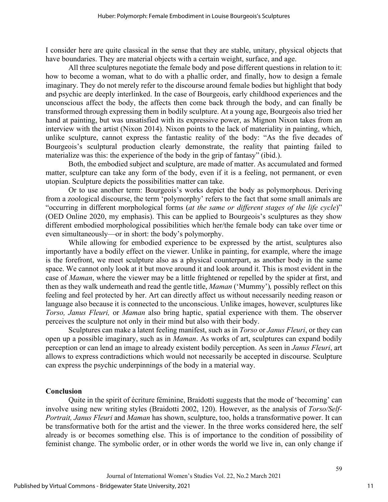I consider here are quite classical in the sense that they are stable, unitary, physical objects that have boundaries. They are material objects with a certain weight, surface, and age.

All three sculptures negotiate the female body and pose different questions in relation to it: how to become a woman, what to do with a phallic order, and finally, how to design a female imaginary. They do not merely refer to the discourse around female bodies but highlight that body and psychic are deeply interlinked. In the case of Bourgeois, early childhood experiences and the unconscious affect the body, the affects then come back through the body, and can finally be transformed through expressing them in bodily sculpture. At a young age, Bourgeois also tried her hand at painting, but was unsatisfied with its expressive power, as Mignon Nixon takes from an interview with the artist (Nixon 2014). Nixon points to the lack of materiality in painting, which, unlike sculpture, cannot express the fantastic reality of the body: "As the five decades of Bourgeois's sculptural production clearly demonstrate, the reality that painting failed to materialize was this: the experience of the body in the grip of fantasy" (ibid.).

Both, the embodied subject and sculpture, are made of matter. As accumulated and formed matter, sculpture can take any form of the body, even if it is a feeling, not permanent, or even utopian. Sculpture depicts the possibilities matter can take.

Or to use another term: Bourgeois's works depict the body as polymorphous. Deriving from a zoological discourse, the term 'polymorphy' refers to the fact that some small animals are "occurring in different morphological forms (*at the same or different stages of the life cycle*)" (OED Online 2020, my emphasis). This can be applied to Bourgeois's sculptures as they show different embodied morphological possibilities which her/the female body can take over time or even simultaneously—or in short: the body's polymorphy.

While allowing for embodied experience to be expressed by the artist, sculptures also importantly have a bodily effect on the viewer. Unlike in painting, for example, where the image is the forefront, we meet sculpture also as a physical counterpart, as another body in the same space. We cannot only look at it but move around it and look around it. This is most evident in the case of *Maman*, where the viewer may be a little frightened or repelled by the spider at first, and then as they walk underneath and read the gentle title, *Maman* ('Mummy')*,* possibly reflect on this feeling and feel protected by her. Art can directly affect us without necessarily needing reason or language also because it is connected to the unconscious. Unlike images, however, sculptures like *Torso, Janus Fleuri,* or *Maman* also bring haptic, spatial experience with them. The observer perceives the sculpture not only in their mind but also with their body.

Sculptures can make a latent feeling manifest, such as in *Torso* or *Janus Fleuri*, or they can open up a possible imaginary, such as in *Maman*. As works of art, sculptures can expand bodily perception or can lend an image to already existent bodily perception. As seen in *Janus Fleuri*, art allows to express contradictions which would not necessarily be accepted in discourse. Sculpture can express the psychic underpinnings of the body in a material way.

## **Conclusion**

Quite in the spirit of écriture féminine, Braidotti suggests that the mode of 'becoming' can involve using new writing styles (Braidotti 2002, 120). However, as the analysis of *Torso/Self-Portrait, Janus Fleuri* and *Maman* has shown, sculpture, too, holds a transformative power. It can be transformative both for the artist and the viewer. In the three works considered here, the self already is or becomes something else. This is of importance to the condition of possibility of feminist change. The symbolic order, or in other words the world we live in, can only change if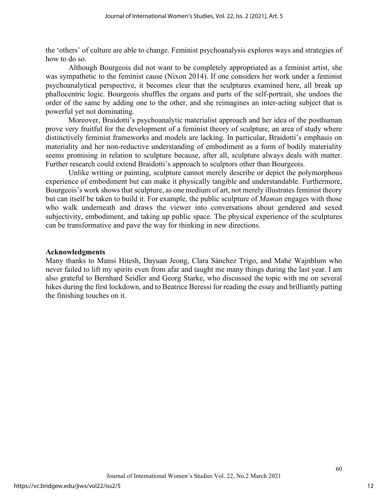the 'others' of culture are able to change. Feminist psychoanalysis explores ways and strategies of how to do so.

Although Bourgeois did not want to be completely appropriated as a feminist artist, she was sympathetic to the feminist cause (Nixon 2014). If one considers her work under a feminist psychoanalytical perspective, it becomes clear that the sculptures examined here, all break up phallocentric logic. Bourgeois shuffles the organs and parts of the self-portrait, she undoes the order of the same by adding one to the other, and she reimagines an inter-acting subject that is powerful yet not dominating.

Moreover, Braidotti's psychoanalytic materialist approach and her idea of the posthuman prove very fruitful for the development of a feminist theory of sculpture, an area of study where distinctively feminist frameworks and models are lacking. In particular, Braidotti's emphasis on materiality and her non-reductive understanding of embodiment as a form of bodily materiality seems promising in relation to sculpture because, after all, sculpture always deals with matter. Further research could extend Braidotti's approach to sculptors other than Bourgeois.

Unlike writing or painting, sculpture cannot merely describe or depict the polymorphous experience of embodiment but can make it physically tangible and understandable. Furthermore, Bourgeois's work shows that sculpture, as one medium of art, not merely illustrates feminist theory but can itself be taken to build it. For example, the public sculpture of *Maman* engages with those who walk underneath and draws the viewer into conversations about gendered and sexed subjectivity, embodiment, and taking up public space. The physical experience of the sculptures can be transformative and pave the way for thinking in new directions.

#### **Acknowledgments**

Many thanks to Mansi Hitesh, Dayuan Jeong, Clara Sánchez Trigo, and Mahé Wajnblum who never failed to lift my spirits even from afar and taught me many things during the last year. I am also grateful to Bernhard Seidler and Georg Starke, who discussed the topic with me on several hikes during the first lockdown, and to Beatrice Beressi for reading the essay and brilliantly putting the finishing touches on it.